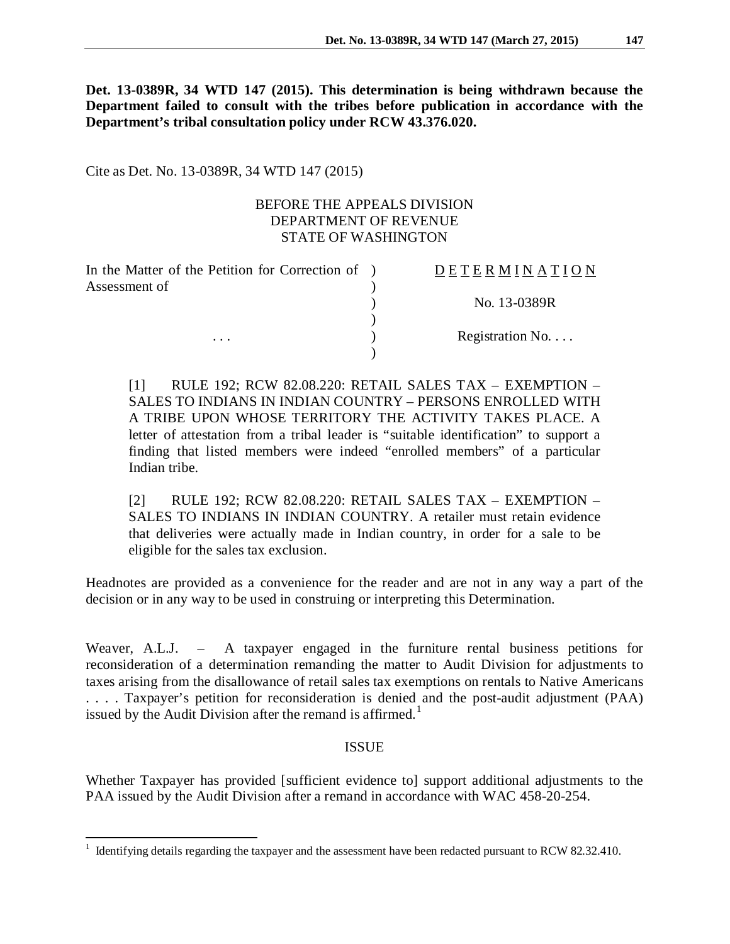**Det. 13-0389R, 34 WTD 147 (2015). This determination is being withdrawn because the Department failed to consult with the tribes before publication in accordance with the Department's tribal consultation policy under RCW 43.376.020.**

Cite as Det. No. 13-0389R, 34 WTD 147 (2015)

## BEFORE THE APPEALS DIVISION DEPARTMENT OF REVENUE STATE OF WASHINGTON

| In the Matter of the Petition for Correction of ) | <b>DETERMINATION</b>     |
|---------------------------------------------------|--------------------------|
| Assessment of                                     |                          |
|                                                   | No. 13-0389R             |
|                                                   |                          |
| $\cdots$                                          | Registration No. $\dots$ |
|                                                   |                          |

[1] RULE 192; RCW 82.08.220: RETAIL SALES TAX – EXEMPTION – SALES TO INDIANS IN INDIAN COUNTRY – PERSONS ENROLLED WITH A TRIBE UPON WHOSE TERRITORY THE ACTIVITY TAKES PLACE. A letter of attestation from a tribal leader is "suitable identification" to support a finding that listed members were indeed "enrolled members" of a particular Indian tribe.

[2] RULE 192; RCW 82.08.220: RETAIL SALES TAX – EXEMPTION – SALES TO INDIANS IN INDIAN COUNTRY. A retailer must retain evidence that deliveries were actually made in Indian country, in order for a sale to be eligible for the sales tax exclusion.

Headnotes are provided as a convenience for the reader and are not in any way a part of the decision or in any way to be used in construing or interpreting this Determination.

Weaver, A.L.J. – A taxpayer engaged in the furniture rental business petitions for reconsideration of a determination remanding the matter to Audit Division for adjustments to taxes arising from the disallowance of retail sales tax exemptions on rentals to Native Americans . . . . Taxpayer's petition for reconsideration is denied and the post-audit adjustment (PAA) issued by the Audit Division after the remand is affirmed.<sup>[1](#page-0-0)</sup>

## ISSUE

Whether Taxpayer has provided [sufficient evidence to] support additional adjustments to the PAA issued by the Audit Division after a remand in accordance with WAC 458-20-254.

<span id="page-0-0"></span><sup>&</sup>lt;sup>1</sup> Identifying details regarding the taxpayer and the assessment have been redacted pursuant to RCW 82.32.410.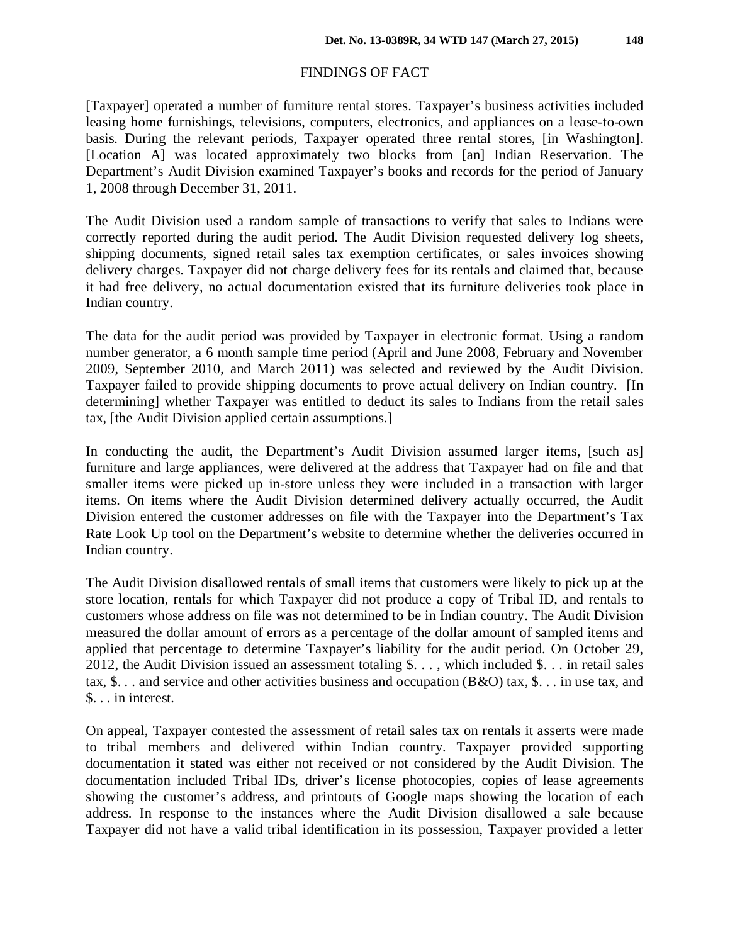#### FINDINGS OF FACT

[Taxpayer] operated a number of furniture rental stores. Taxpayer's business activities included leasing home furnishings, televisions, computers, electronics, and appliances on a lease-to-own basis. During the relevant periods, Taxpayer operated three rental stores, [in Washington]. [Location A] was located approximately two blocks from [an] Indian Reservation. The Department's Audit Division examined Taxpayer's books and records for the period of January 1, 2008 through December 31, 2011.

The Audit Division used a random sample of transactions to verify that sales to Indians were correctly reported during the audit period. The Audit Division requested delivery log sheets, shipping documents, signed retail sales tax exemption certificates, or sales invoices showing delivery charges. Taxpayer did not charge delivery fees for its rentals and claimed that, because it had free delivery, no actual documentation existed that its furniture deliveries took place in Indian country.

The data for the audit period was provided by Taxpayer in electronic format. Using a random number generator, a 6 month sample time period (April and June 2008, February and November 2009, September 2010, and March 2011) was selected and reviewed by the Audit Division. Taxpayer failed to provide shipping documents to prove actual delivery on Indian country. [In determining] whether Taxpayer was entitled to deduct its sales to Indians from the retail sales tax, [the Audit Division applied certain assumptions.]

In conducting the audit, the Department's Audit Division assumed larger items, [such as] furniture and large appliances, were delivered at the address that Taxpayer had on file and that smaller items were picked up in-store unless they were included in a transaction with larger items. On items where the Audit Division determined delivery actually occurred, the Audit Division entered the customer addresses on file with the Taxpayer into the Department's Tax Rate Look Up tool on the Department's website to determine whether the deliveries occurred in Indian country.

The Audit Division disallowed rentals of small items that customers were likely to pick up at the store location, rentals for which Taxpayer did not produce a copy of Tribal ID, and rentals to customers whose address on file was not determined to be in Indian country. The Audit Division measured the dollar amount of errors as a percentage of the dollar amount of sampled items and applied that percentage to determine Taxpayer's liability for the audit period. On October 29, 2012, the Audit Division issued an assessment totaling \$. . . , which included \$. . . in retail sales tax, \$. . . and service and other activities business and occupation (B&O) tax, \$. . . in use tax, and \$. . . in interest.

On appeal, Taxpayer contested the assessment of retail sales tax on rentals it asserts were made to tribal members and delivered within Indian country. Taxpayer provided supporting documentation it stated was either not received or not considered by the Audit Division. The documentation included Tribal IDs, driver's license photocopies, copies of lease agreements showing the customer's address, and printouts of Google maps showing the location of each address. In response to the instances where the Audit Division disallowed a sale because Taxpayer did not have a valid tribal identification in its possession, Taxpayer provided a letter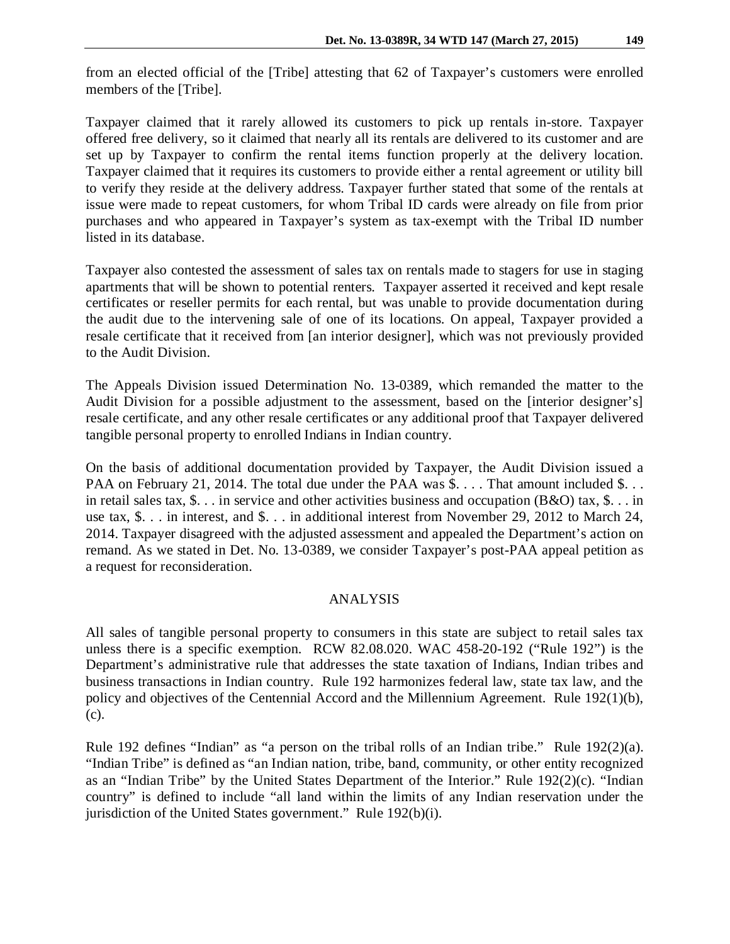from an elected official of the [Tribe] attesting that 62 of Taxpayer's customers were enrolled members of the [Tribe].

Taxpayer claimed that it rarely allowed its customers to pick up rentals in-store. Taxpayer offered free delivery, so it claimed that nearly all its rentals are delivered to its customer and are set up by Taxpayer to confirm the rental items function properly at the delivery location. Taxpayer claimed that it requires its customers to provide either a rental agreement or utility bill to verify they reside at the delivery address. Taxpayer further stated that some of the rentals at issue were made to repeat customers, for whom Tribal ID cards were already on file from prior purchases and who appeared in Taxpayer's system as tax-exempt with the Tribal ID number listed in its database.

Taxpayer also contested the assessment of sales tax on rentals made to stagers for use in staging apartments that will be shown to potential renters. Taxpayer asserted it received and kept resale certificates or reseller permits for each rental, but was unable to provide documentation during the audit due to the intervening sale of one of its locations. On appeal, Taxpayer provided a resale certificate that it received from [an interior designer], which was not previously provided to the Audit Division.

The Appeals Division issued Determination No. 13-0389, which remanded the matter to the Audit Division for a possible adjustment to the assessment, based on the [interior designer's] resale certificate, and any other resale certificates or any additional proof that Taxpayer delivered tangible personal property to enrolled Indians in Indian country.

On the basis of additional documentation provided by Taxpayer, the Audit Division issued a PAA on February 21, 2014. The total due under the PAA was \$. . . . That amount included \$. . . in retail sales tax, \$. . . in service and other activities business and occupation (B&O) tax, \$. . . in use tax, \$. . . in interest, and \$. . . in additional interest from November 29, 2012 to March 24, 2014. Taxpayer disagreed with the adjusted assessment and appealed the Department's action on remand. As we stated in Det. No. 13-0389, we consider Taxpayer's post-PAA appeal petition as a request for reconsideration.

### ANALYSIS

All sales of tangible personal property to consumers in this state are subject to retail sales tax unless there is a specific exemption. RCW 82.08.020. WAC 458-20-192 ("Rule 192") is the Department's administrative rule that addresses the state taxation of Indians, Indian tribes and business transactions in Indian country. Rule 192 harmonizes federal law, state tax law, and the policy and objectives of the Centennial Accord and the Millennium Agreement. Rule 192(1)(b), (c).

Rule 192 defines "Indian" as "a person on the tribal rolls of an Indian tribe." Rule 192(2)(a). "Indian Tribe" is defined as "an Indian nation, tribe, band, community, or other entity recognized as an "Indian Tribe" by the United States Department of the Interior." Rule 192(2)(c). "Indian country" is defined to include "all land within the limits of any Indian reservation under the jurisdiction of the United States government." Rule 192(b)(i).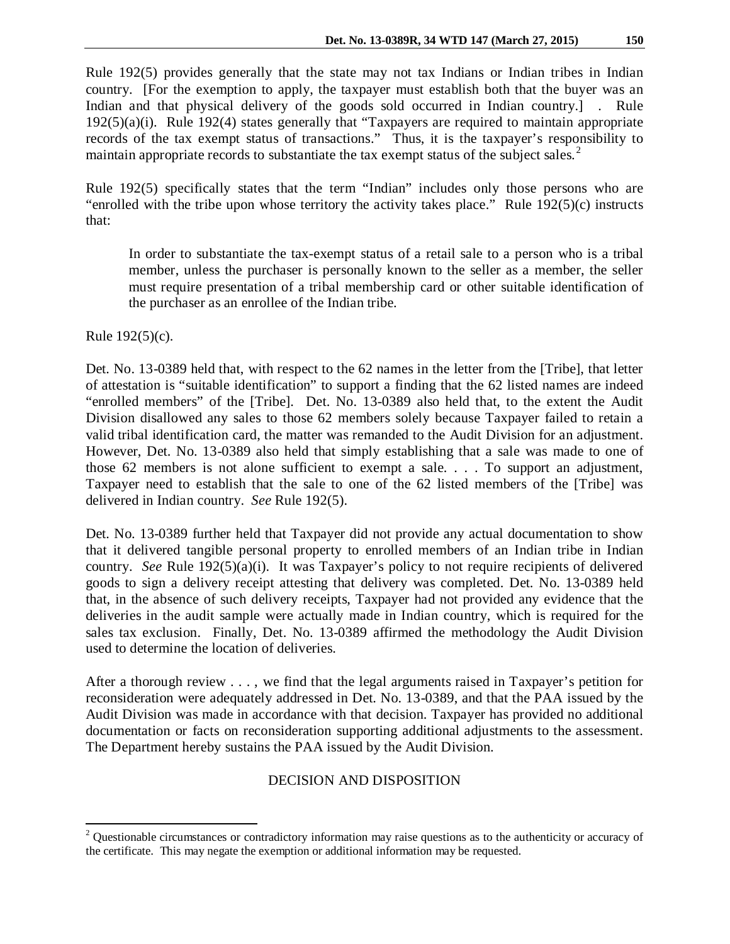country. [For the exemption to apply, the taxpayer must establish both that the buyer was an Indian and that physical delivery of the goods sold occurred in Indian country.] . Rule 192(5)(a)(i). Rule 192(4) states generally that "Taxpayers are required to maintain appropriate records of the tax exempt status of transactions." Thus, it is the taxpayer's responsibility to maintain appropriate records to substantiate the tax exempt status of the subject sales.<sup>[2](#page-3-0)</sup>

Rule 192(5) specifically states that the term "Indian" includes only those persons who are "enrolled with the tribe upon whose territory the activity takes place." Rule  $192(5)(c)$  instructs that:

In order to substantiate the tax-exempt status of a retail sale to a person who is a tribal member, unless the purchaser is personally known to the seller as a member, the seller must require presentation of a tribal membership card or other suitable identification of the purchaser as an enrollee of the Indian tribe.

Rule 192(5)(c).

Det. No. 13-0389 held that, with respect to the 62 names in the letter from the [Tribe], that letter of attestation is "suitable identification" to support a finding that the 62 listed names are indeed "enrolled members" of the [Tribe]. Det. No. 13-0389 also held that, to the extent the Audit Division disallowed any sales to those 62 members solely because Taxpayer failed to retain a valid tribal identification card, the matter was remanded to the Audit Division for an adjustment. However, Det. No. 13-0389 also held that simply establishing that a sale was made to one of those 62 members is not alone sufficient to exempt a sale. . . . To support an adjustment, Taxpayer need to establish that the sale to one of the 62 listed members of the [Tribe] was delivered in Indian country. *See* Rule 192(5).

Det. No. 13-0389 further held that Taxpayer did not provide any actual documentation to show that it delivered tangible personal property to enrolled members of an Indian tribe in Indian country. *See* Rule 192(5)(a)(i). It was Taxpayer's policy to not require recipients of delivered goods to sign a delivery receipt attesting that delivery was completed. Det. No. 13-0389 held that, in the absence of such delivery receipts, Taxpayer had not provided any evidence that the deliveries in the audit sample were actually made in Indian country, which is required for the sales tax exclusion. Finally, Det. No. 13-0389 affirmed the methodology the Audit Division used to determine the location of deliveries.

After a thorough review . . . , we find that the legal arguments raised in Taxpayer's petition for reconsideration were adequately addressed in Det. No. 13-0389, and that the PAA issued by the Audit Division was made in accordance with that decision. Taxpayer has provided no additional documentation or facts on reconsideration supporting additional adjustments to the assessment. The Department hereby sustains the PAA issued by the Audit Division.

# DECISION AND DISPOSITION

<span id="page-3-0"></span><sup>&</sup>lt;sup>2</sup> Questionable circumstances or contradictory information may raise questions as to the authenticity or accuracy of the certificate. This may negate the exemption or additional information may be requested.